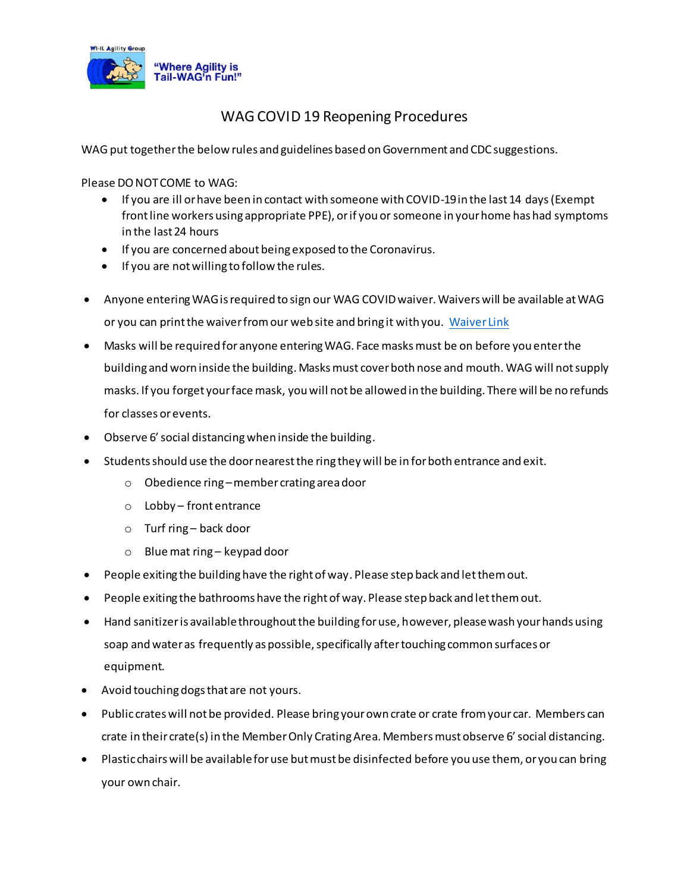

## WAG COVID 19 Reopening Procedures

WAG put together the below rules and guidelines based on Government and CDC suggestions.

Please DO NOT COME to WAG:

- If you are ill or have been in contact with someone with COVID-19 in the last 14 days (Exempt front line workers using appropriate PPE), or if you or someone in your home has had symptoms in the last 24 hours
- If you are concerned about being exposed to the Coronavirus.
- If you are not willing to follow the rules.
- Anyone enteringWAG is required to sign our WAG COVID waiver. Waivers will be available at WAG or you can print the waiver from our web site and bring it with you. [Waiver Link](https://wagagility.com/wp-content/uploads/2020/06/WAG-COVID-19-Waiver.pdf)
- Masks will be required for anyone entering WAG. Face masks must be on before you enter the building and worn inside the building. Masks must cover both nose and mouth. WAG will not supply masks. If you forget your face mask, you will not be allowed in the building. There will be no refunds for classes or events.
- Observe 6' social distancing when inside the building.
- Students should use the door nearest the ring they will be in for both entrance and exit.
	- o Obedience ring –member crating area door
	- o Lobby front entrance
	- o Turf ring back door
	- o Blue mat ring keypad door
- People exiting the building have the right of way. Please step back and let them out.
- People exiting the bathrooms have the right of way. Please step back and let them out.
- Hand sanitizer is available throughout the building for use, however, please wash your hands using soap and water as frequently as possible, specifically after touching common surfaces or equipment.
- Avoid touching dogs that are not yours.
- Public crates will not be provided. Please bring your own crate or crate from your car. Members can crate in their crate(s) in the Member Only Crating Area. Members must observe 6' social distancing.
- Plastic chairs will be available for use but must be disinfected before you use them, or you can bring your own chair.